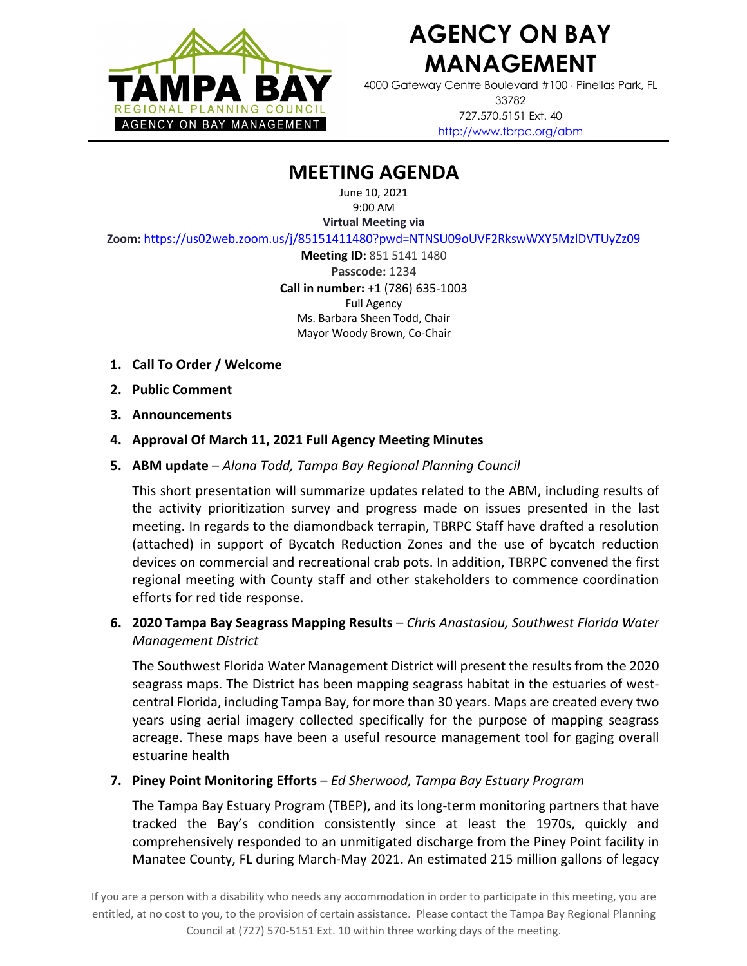

4000 Gateway Centre Boulevard #100 × Pinellas Park, FL 33782 727.570.5151 Ext. 40 http://www.tbrpc.org/abm

### **MEETING AGENDA**

June 10, 2021 9:00 AM

**Virtual Meeting via** 

**Zoom:** https://us02web.zoom.us/j/85151411480?pwd=NTNSU09oUVF2RkswWXY5MzlDVTUyZz09

**Meeting ID:** 851 5141 1480 **Passcode:** 1234 **Call in number:** +1 (786) 635-1003 Full Agency Ms. Barbara Sheen Todd, Chair Mayor Woody Brown, Co-Chair

- **1. Call To Order / Welcome**
- **2. Public Comment**
- **3. Announcements**
- **4. Approval Of March 11, 2021 Full Agency Meeting Minutes**
- **5. ABM update**  *Alana Todd, Tampa Bay Regional Planning Council*

This short presentation will summarize updates related to the ABM, including results of the activity prioritization survey and progress made on issues presented in the last meeting. In regards to the diamondback terrapin, TBRPC Staff have drafted a resolution (attached) in support of Bycatch Reduction Zones and the use of bycatch reduction devices on commercial and recreational crab pots. In addition, TBRPC convened the first regional meeting with County staff and other stakeholders to commence coordination efforts for red tide response.

**6. 2020 Tampa Bay Seagrass Mapping Results** – *Chris Anastasiou, Southwest Florida Water Management District*

The Southwest Florida Water Management District will present the results from the 2020 seagrass maps. The District has been mapping seagrass habitat in the estuaries of westcentral Florida, including Tampa Bay, for more than 30 years. Maps are created every two years using aerial imagery collected specifically for the purpose of mapping seagrass acreage. These maps have been a useful resource management tool for gaging overall estuarine health

#### **7. Piney Point Monitoring Efforts** – *Ed Sherwood, Tampa Bay Estuary Program*

The Tampa Bay Estuary Program (TBEP), and its long-term monitoring partners that have tracked the Bay's condition consistently since at least the 1970s, quickly and comprehensively responded to an unmitigated discharge from the Piney Point facility in Manatee County, FL during March-May 2021. An estimated 215 million gallons of legacy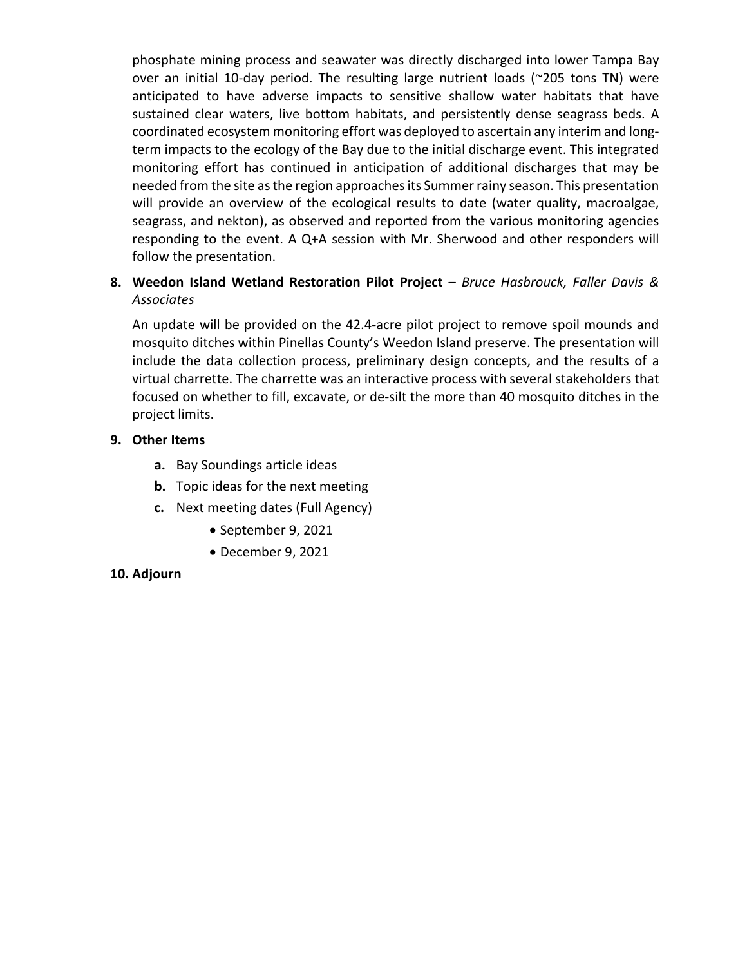phosphate mining process and seawater was directly discharged into lower Tampa Bay over an initial 10-day period. The resulting large nutrient loads (~205 tons TN) were anticipated to have adverse impacts to sensitive shallow water habitats that have sustained clear waters, live bottom habitats, and persistently dense seagrass beds. A coordinated ecosystem monitoring effort was deployed to ascertain any interim and longterm impacts to the ecology of the Bay due to the initial discharge event. This integrated monitoring effort has continued in anticipation of additional discharges that may be needed from the site as the region approaches its Summer rainy season. This presentation will provide an overview of the ecological results to date (water quality, macroalgae, seagrass, and nekton), as observed and reported from the various monitoring agencies responding to the event. A Q+A session with Mr. Sherwood and other responders will follow the presentation.

### **8. Weedon Island Wetland Restoration Pilot Project** – *Bruce Hasbrouck, Faller Davis & Associates*

An update will be provided on the 42.4-acre pilot project to remove spoil mounds and mosquito ditches within Pinellas County's Weedon Island preserve. The presentation will include the data collection process, preliminary design concepts, and the results of a virtual charrette. The charrette was an interactive process with several stakeholders that focused on whether to fill, excavate, or de-silt the more than 40 mosquito ditches in the project limits.

#### **9. Other Items**

- **a.** Bay Soundings article ideas
- **b.** Topic ideas for the next meeting
- **c.** Next meeting dates (Full Agency)
	- September 9, 2021
	- December 9, 2021

#### **10. Adjourn**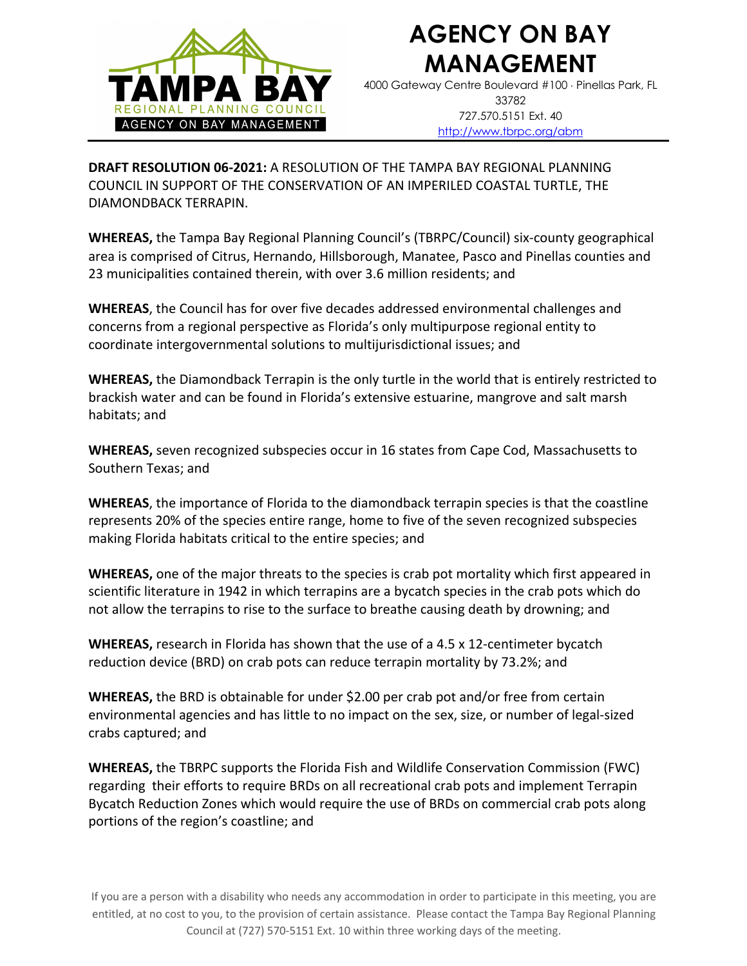

4000 Gateway Centre Boulevard #100 × Pinellas Park, FL 33782 727.570.5151 Ext. 40 http://www.tbrpc.org/abm

**DRAFT RESOLUTION 06-2021:** A RESOLUTION OF THE TAMPA BAY REGIONAL PLANNING COUNCIL IN SUPPORT OF THE CONSERVATION OF AN IMPERILED COASTAL TURTLE, THE DIAMONDBACK TERRAPIN.

**WHEREAS,** the Tampa Bay Regional Planning Council's (TBRPC/Council) six-county geographical area is comprised of Citrus, Hernando, Hillsborough, Manatee, Pasco and Pinellas counties and 23 municipalities contained therein, with over 3.6 million residents; and

**WHEREAS**, the Council has for over five decades addressed environmental challenges and concerns from a regional perspective as Florida's only multipurpose regional entity to coordinate intergovernmental solutions to multijurisdictional issues; and

**WHEREAS,** the Diamondback Terrapin is the only turtle in the world that is entirely restricted to brackish water and can be found in Florida's extensive estuarine, mangrove and salt marsh habitats; and

**WHEREAS,** seven recognized subspecies occur in 16 states from Cape Cod, Massachusetts to Southern Texas; and

**WHEREAS**, the importance of Florida to the diamondback terrapin species is that the coastline represents 20% of the species entire range, home to five of the seven recognized subspecies making Florida habitats critical to the entire species; and

**WHEREAS,** one of the major threats to the species is crab pot mortality which first appeared in scientific literature in 1942 in which terrapins are a bycatch species in the crab pots which do not allow the terrapins to rise to the surface to breathe causing death by drowning; and

**WHEREAS,** research in Florida has shown that the use of a 4.5 x 12-centimeter bycatch reduction device (BRD) on crab pots can reduce terrapin mortality by 73.2%; and

**WHEREAS,** the BRD is obtainable for under \$2.00 per crab pot and/or free from certain environmental agencies and has little to no impact on the sex, size, or number of legal-sized crabs captured; and

**WHEREAS,** the TBRPC supports the Florida Fish and Wildlife Conservation Commission (FWC) regarding their efforts to require BRDs on all recreational crab pots and implement Terrapin Bycatch Reduction Zones which would require the use of BRDs on commercial crab pots along portions of the region's coastline; and

If you are a person with a disability who needs any accommodation in order to participate in this meeting, you are entitled, at no cost to you, to the provision of certain assistance. Please contact the Tampa Bay Regional Planning Council at (727) 570-5151 Ext. 10 within three working days of the meeting.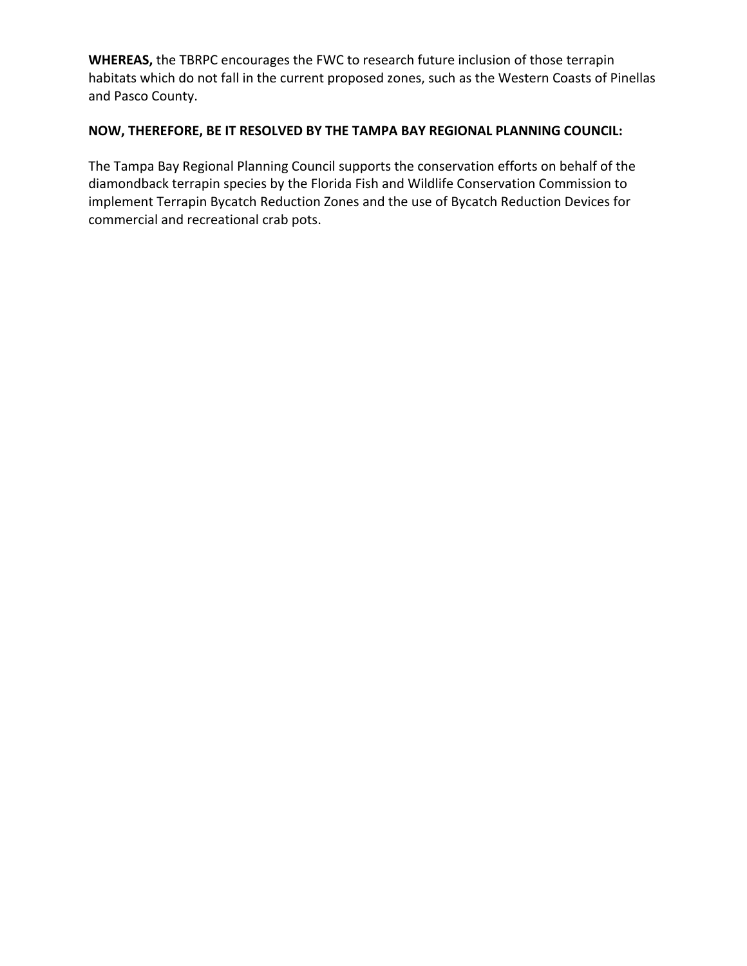**WHEREAS,** the TBRPC encourages the FWC to research future inclusion of those terrapin habitats which do not fall in the current proposed zones, such as the Western Coasts of Pinellas and Pasco County.

#### **NOW, THEREFORE, BE IT RESOLVED BY THE TAMPA BAY REGIONAL PLANNING COUNCIL:**

The Tampa Bay Regional Planning Council supports the conservation efforts on behalf of the diamondback terrapin species by the Florida Fish and Wildlife Conservation Commission to implement Terrapin Bycatch Reduction Zones and the use of Bycatch Reduction Devices for commercial and recreational crab pots.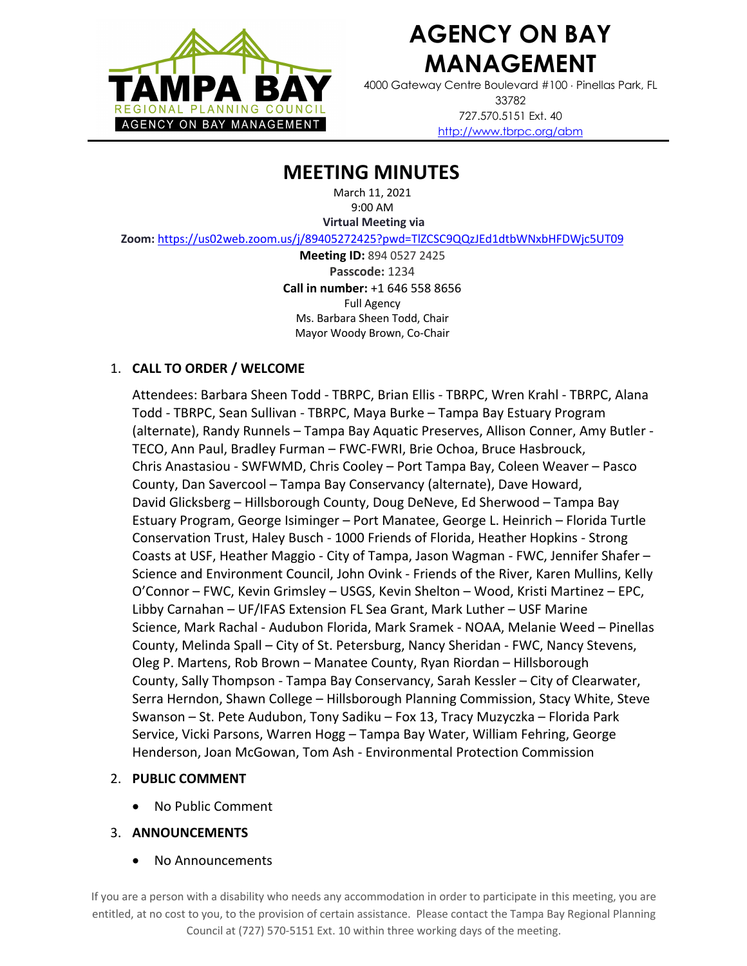

4000 Gateway Centre Boulevard #100 × Pinellas Park, FL 33782 727.570.5151 Ext. 40 http://www.tbrpc.org/abm

### **MEETING MINUTES**

March 11, 2021 9:00 AM

**Virtual Meeting via** 

**Zoom:**https://us02web.zoom.us/j/89405272425?pwd=TlZCSC9QQzJEd1dtbWNxbHFDWjc5UT09

**Meeting ID:** 894 0527 2425 **Passcode:** 1234 **Call in number:** +1 646 558 8656 Full Agency Ms. Barbara Sheen Todd, Chair Mayor Woody Brown, Co-Chair

#### 1. **CALL TO ORDER / WELCOME**

Attendees: Barbara Sheen Todd - TBRPC, Brian Ellis - TBRPC, Wren Krahl - TBRPC, Alana Todd - TBRPC, Sean Sullivan - TBRPC, Maya Burke – Tampa Bay Estuary Program (alternate), Randy Runnels – Tampa Bay Aquatic Preserves, Allison Conner, Amy Butler - TECO, Ann Paul, Bradley Furman – FWC-FWRI, Brie Ochoa, Bruce Hasbrouck, Chris Anastasiou - SWFWMD, Chris Cooley – Port Tampa Bay, Coleen Weaver – Pasco County, Dan Savercool – Tampa Bay Conservancy (alternate), Dave Howard, David Glicksberg – Hillsborough County, Doug DeNeve, Ed Sherwood – Tampa Bay Estuary Program, George Isiminger – Port Manatee, George L. Heinrich – Florida Turtle Conservation Trust, Haley Busch - 1000 Friends of Florida, Heather Hopkins - Strong Coasts at USF, Heather Maggio - City of Tampa, Jason Wagman - FWC, Jennifer Shafer – Science and Environment Council, John Ovink - Friends of the River, Karen Mullins, Kelly O'Connor – FWC, Kevin Grimsley – USGS, Kevin Shelton – Wood, Kristi Martinez – EPC, Libby Carnahan – UF/IFAS Extension FL Sea Grant, Mark Luther – USF Marine Science, Mark Rachal - Audubon Florida, Mark Sramek - NOAA, Melanie Weed – Pinellas County, Melinda Spall – City of St. Petersburg, Nancy Sheridan - FWC, Nancy Stevens, Oleg P. Martens, Rob Brown – Manatee County, Ryan Riordan – Hillsborough County, Sally Thompson - Tampa Bay Conservancy, Sarah Kessler – City of Clearwater, Serra Herndon, Shawn College – Hillsborough Planning Commission, Stacy White, Steve Swanson – St. Pete Audubon, Tony Sadiku – Fox 13, Tracy Muzyczka – Florida Park Service, Vicki Parsons, Warren Hogg – Tampa Bay Water, William Fehring, George Henderson, Joan McGowan, Tom Ash - Environmental Protection Commission

#### 2. **PUBLIC COMMENT**

• No Public Comment

#### 3. **ANNOUNCEMENTS**

• No Announcements

If you are a person with a disability who needs any accommodation in order to participate in this meeting, you are entitled, at no cost to you, to the provision of certain assistance. Please contact the Tampa Bay Regional Planning Council at (727) 570-5151 Ext. 10 within three working days of the meeting.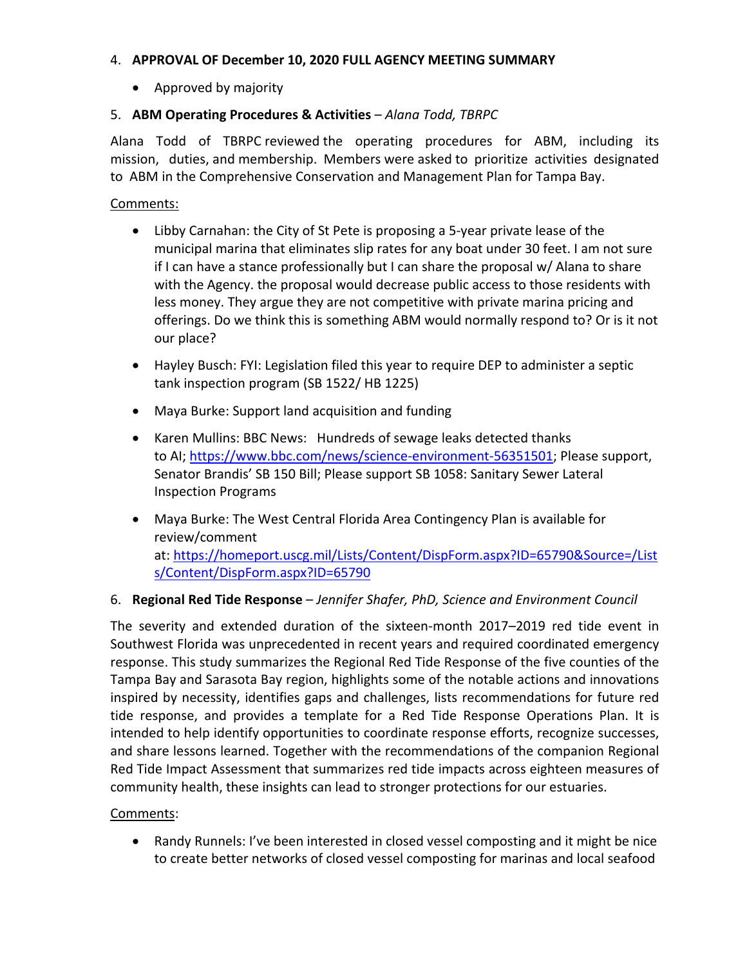#### 4. **APPROVAL OF December 10, 2020 FULL AGENCY MEETING SUMMARY**

• Approved by majority

#### 5. **ABM Operating Procedures & Activities** – *Alana Todd, TBRPC*

Alana Todd of TBRPC reviewed the operating procedures for ABM, including its mission, duties, and membership. Members were asked to prioritize activities designated to ABM in the Comprehensive Conservation and Management Plan for Tampa Bay.

Comments:

- Libby Carnahan: the City of St Pete is proposing a 5-year private lease of the municipal marina that eliminates slip rates for any boat under 30 feet. I am not sure if I can have a stance professionally but I can share the proposal w/ Alana to share with the Agency. the proposal would decrease public access to those residents with less money. They argue they are not competitive with private marina pricing and offerings. Do we think this is something ABM would normally respond to? Or is it not our place?
- Hayley Busch: FYI: Legislation filed this year to require DEP to administer a septic tank inspection program (SB 1522/ HB 1225)
- Maya Burke: Support land acquisition and funding
- Karen Mullins: BBC News: Hundreds of sewage leaks detected thanks to AI; https://www.bbc.com/news/science-environment-56351501; Please support, Senator Brandis' SB 150 Bill; Please support SB 1058: Sanitary Sewer Lateral Inspection Programs
- Maya Burke: The West Central Florida Area Contingency Plan is available for review/comment at: https://homeport.uscg.mil/Lists/Content/DispForm.aspx?ID=65790&Source=/List s/Content/DispForm.aspx?ID=65790

#### 6. **Regional Red Tide Response** – *Jennifer Shafer, PhD, Science and Environment Council*

The severity and extended duration of the sixteen-month 2017–2019 red tide event in Southwest Florida was unprecedented in recent years and required coordinated emergency response. This study summarizes the Regional Red Tide Response of the five counties of the Tampa Bay and Sarasota Bay region, highlights some of the notable actions and innovations inspired by necessity, identifies gaps and challenges, lists recommendations for future red tide response, and provides a template for a Red Tide Response Operations Plan. It is intended to help identify opportunities to coordinate response efforts, recognize successes, and share lessons learned. Together with the recommendations of the companion Regional Red Tide Impact Assessment that summarizes red tide impacts across eighteen measures of community health, these insights can lead to stronger protections for our estuaries.

#### Comments:

• Randy Runnels: I've been interested in closed vessel composting and it might be nice to create better networks of closed vessel composting for marinas and local seafood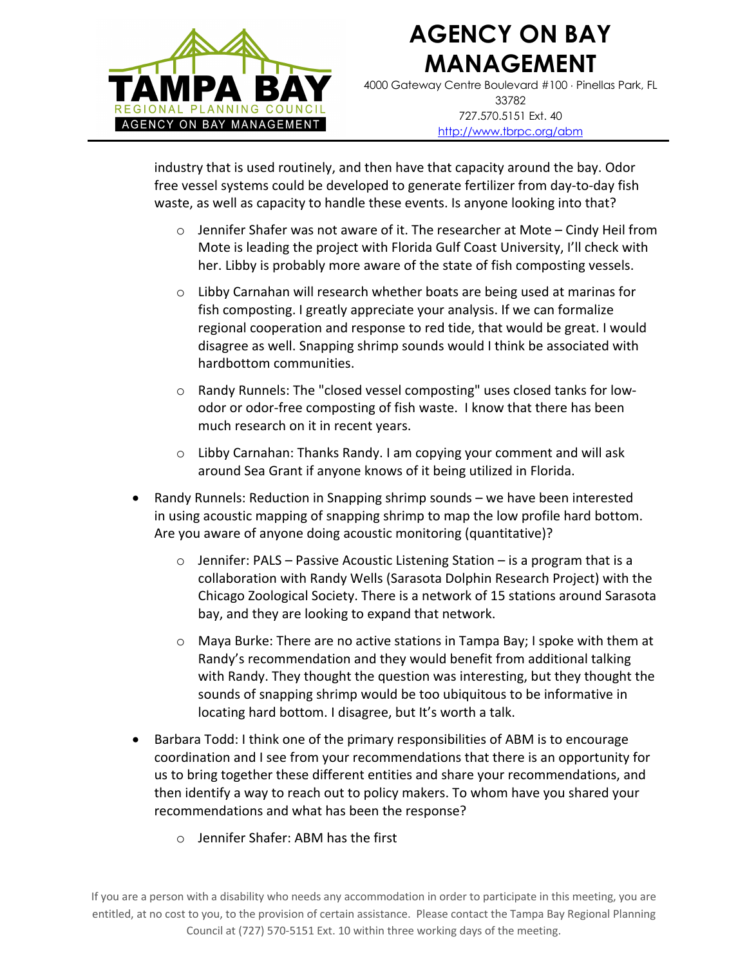

4000 Gateway Centre Boulevard #100 × Pinellas Park, FL 33782 727.570.5151 Ext. 40 http://www.tbrpc.org/abm

industry that is used routinely, and then have that capacity around the bay. Odor free vessel systems could be developed to generate fertilizer from day-to-day fish waste, as well as capacity to handle these events. Is anyone looking into that?

- $\circ$  Jennifer Shafer was not aware of it. The researcher at Mote Cindy Heil from Mote is leading the project with Florida Gulf Coast University, I'll check with her. Libby is probably more aware of the state of fish composting vessels.
- $\circ$  Libby Carnahan will research whether boats are being used at marinas for fish composting. I greatly appreciate your analysis. If we can formalize regional cooperation and response to red tide, that would be great. I would disagree as well. Snapping shrimp sounds would I think be associated with hardbottom communities.
- o Randy Runnels: The "closed vessel composting" uses closed tanks for lowodor or odor-free composting of fish waste. I know that there has been much research on it in recent years.
- $\circ$  Libby Carnahan: Thanks Randy. I am copying your comment and will ask around Sea Grant if anyone knows of it being utilized in Florida.
- Randy Runnels: Reduction in Snapping shrimp sounds we have been interested in using acoustic mapping of snapping shrimp to map the low profile hard bottom. Are you aware of anyone doing acoustic monitoring (quantitative)?
	- $\circ$  Jennifer: PALS Passive Acoustic Listening Station is a program that is a collaboration with Randy Wells (Sarasota Dolphin Research Project) with the Chicago Zoological Society. There is a network of 15 stations around Sarasota bay, and they are looking to expand that network.
	- o Maya Burke: There are no active stations in Tampa Bay; I spoke with them at Randy's recommendation and they would benefit from additional talking with Randy. They thought the question was interesting, but they thought the sounds of snapping shrimp would be too ubiquitous to be informative in locating hard bottom. I disagree, but It's worth a talk.
- Barbara Todd: I think one of the primary responsibilities of ABM is to encourage coordination and I see from your recommendations that there is an opportunity for us to bring together these different entities and share your recommendations, and then identify a way to reach out to policy makers. To whom have you shared your recommendations and what has been the response?
	- o Jennifer Shafer: ABM has the first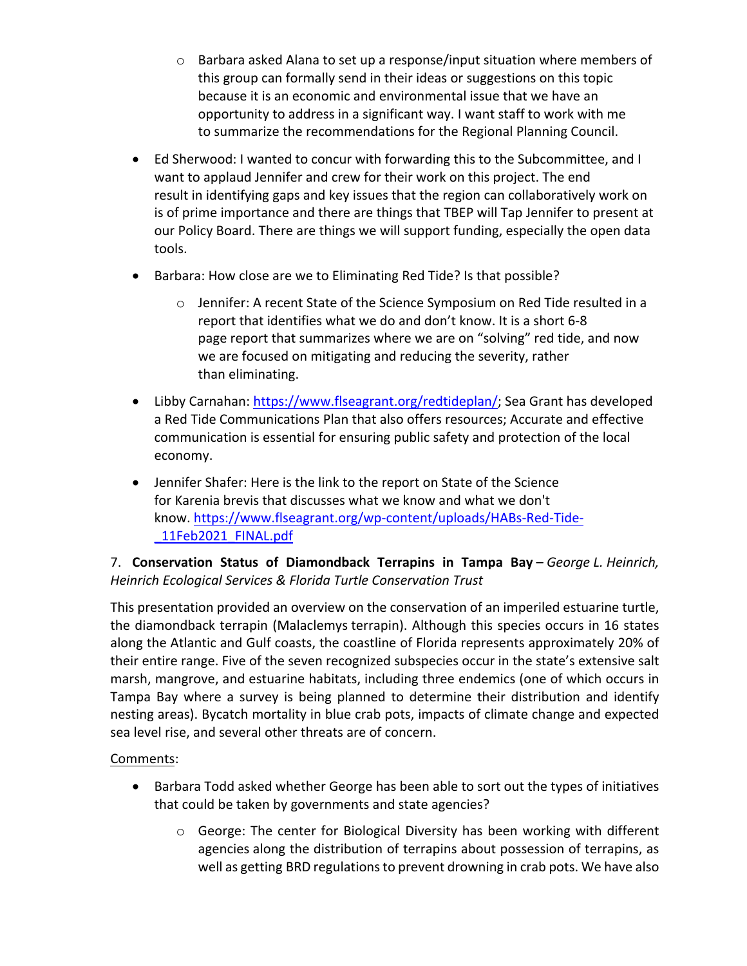- $\circ$  Barbara asked Alana to set up a response/input situation where members of this group can formally send in their ideas or suggestions on this topic because it is an economic and environmental issue that we have an opportunity to address in a significant way. I want staff to work with me to summarize the recommendations for the Regional Planning Council.
- Ed Sherwood: I wanted to concur with forwarding this to the Subcommittee, and I want to applaud Jennifer and crew for their work on this project. The end result in identifying gaps and key issues that the region can collaboratively work on is of prime importance and there are things that TBEP will Tap Jennifer to present at our Policy Board. There are things we will support funding, especially the open data tools.
- Barbara: How close are we to Eliminating Red Tide? Is that possible?
	- o Jennifer: A recent State of the Science Symposium on Red Tide resulted in a report that identifies what we do and don't know. It is a short 6-8 page report that summarizes where we are on "solving" red tide, and now we are focused on mitigating and reducing the severity, rather than eliminating.
- Libby Carnahan: https://www.flseagrant.org/redtideplan/; Sea Grant has developed a Red Tide Communications Plan that also offers resources; Accurate and effective communication is essential for ensuring public safety and protection of the local economy.
- Jennifer Shafer: Here is the link to the report on State of the Science for Karenia brevis that discusses what we know and what we don't know. https://www.flseagrant.org/wp-content/uploads/HABs-Red-Tide- \_11Feb2021\_FINAL.pdf

### 7. **Conservation Status of Diamondback Terrapins in Tampa Bay** – *George L. Heinrich, Heinrich Ecological Services & Florida Turtle Conservation Trust*

This presentation provided an overview on the conservation of an imperiled estuarine turtle, the diamondback terrapin (Malaclemys terrapin). Although this species occurs in 16 states along the Atlantic and Gulf coasts, the coastline of Florida represents approximately 20% of their entire range. Five of the seven recognized subspecies occur in the state's extensive salt marsh, mangrove, and estuarine habitats, including three endemics (one of which occurs in Tampa Bay where a survey is being planned to determine their distribution and identify nesting areas). Bycatch mortality in blue crab pots, impacts of climate change and expected sea level rise, and several other threats are of concern.

### Comments:

- Barbara Todd asked whether George has been able to sort out the types of initiatives that could be taken by governments and state agencies?
	- o George: The center for Biological Diversity has been working with different agencies along the distribution of terrapins about possession of terrapins, as well as getting BRD regulations to prevent drowning in crab pots. We have also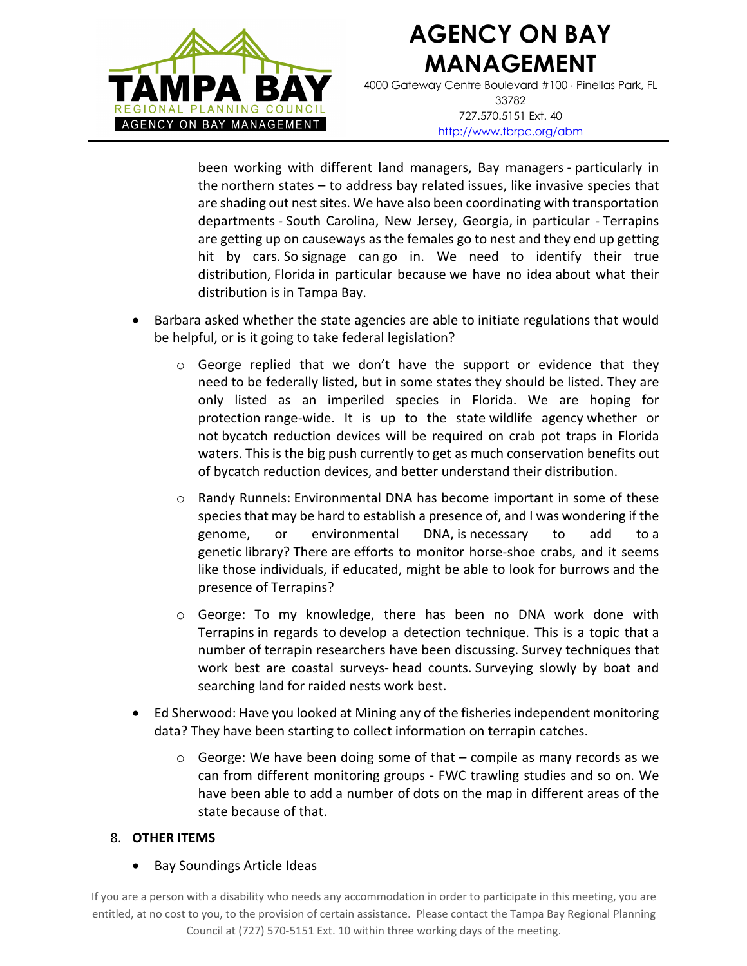

4000 Gateway Centre Boulevard #100 × Pinellas Park, FL 33782 727.570.5151 Ext. 40 http://www.tbrpc.org/abm

been working with different land managers, Bay managers - particularly in the northern states – to address bay related issues, like invasive species that are shading out nest sites. We have also been coordinating with transportation departments - South Carolina, New Jersey, Georgia, in particular - Terrapins are getting up on causeways as the females go to nest and they end up getting hit by cars. So signage can go in. We need to identify their true distribution, Florida in particular because we have no idea about what their distribution is in Tampa Bay.

- Barbara asked whether the state agencies are able to initiate regulations that would be helpful, or is it going to take federal legislation?
	- $\circ$  George replied that we don't have the support or evidence that they need to be federally listed, but in some states they should be listed. They are only listed as an imperiled species in Florida. We are hoping for protection range-wide. It is up to the state wildlife agency whether or not bycatch reduction devices will be required on crab pot traps in Florida waters. This is the big push currently to get as much conservation benefits out of bycatch reduction devices, and better understand their distribution.
	- o Randy Runnels: Environmental DNA has become important in some of these species that may be hard to establish a presence of, and I was wondering if the genome, or environmental DNA, is necessary to add to a genetic library? There are efforts to monitor horse-shoe crabs, and it seems like those individuals, if educated, might be able to look for burrows and the presence of Terrapins?
	- o George: To my knowledge, there has been no DNA work done with Terrapins in regards to develop a detection technique. This is a topic that a number of terrapin researchers have been discussing. Survey techniques that work best are coastal surveys- head counts. Surveying slowly by boat and searching land for raided nests work best.
- Ed Sherwood: Have you looked at Mining any of the fisheries independent monitoring data? They have been starting to collect information on terrapin catches.
	- o George: We have been doing some of that compile as many records as we can from different monitoring groups - FWC trawling studies and so on. We have been able to add a number of dots on the map in different areas of the state because of that.

#### 8. **OTHER ITEMS**

• Bay Soundings Article Ideas

If you are a person with a disability who needs any accommodation in order to participate in this meeting, you are entitled, at no cost to you, to the provision of certain assistance. Please contact the Tampa Bay Regional Planning Council at (727) 570-5151 Ext. 10 within three working days of the meeting.